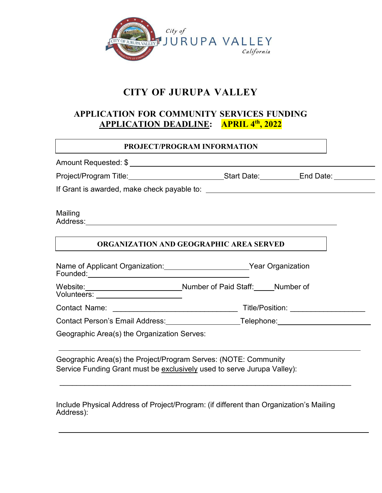

# **CITY OF JURUPA VALLEY**

# **APPLICATION FOR COMMUNITY SERVICES FUNDING APPLICATION DEADLINE: APRIL 4th, 2022**

## **PROJECT/PROGRAM INFORMATION**

| Project/Program Title:________________________________Start Date: _____________End Date: ___________  |  |  |                                        |  |  |  |  |
|-------------------------------------------------------------------------------------------------------|--|--|----------------------------------------|--|--|--|--|
|                                                                                                       |  |  |                                        |  |  |  |  |
| Mailing<br>ORGANIZATION AND GEOGRAPHIC AREA SERVED                                                    |  |  |                                        |  |  |  |  |
| Name of Applicant Organization: Vear Organization                                                     |  |  |                                        |  |  |  |  |
| Website: Mumber of Paid Staff: Mumber of Paid Staff: Number of<br>Volunteers: _______________________ |  |  |                                        |  |  |  |  |
|                                                                                                       |  |  | Title/Position: ______________________ |  |  |  |  |
| Contact Person's Email Address: Contact Person's Email Address: Contact Person's Email Address:       |  |  |                                        |  |  |  |  |
| Geographic Area(s) the Organization Serves:                                                           |  |  |                                        |  |  |  |  |

Geographic Area(s) the Project/Program Serves: (NOTE: Community Service Funding Grant must be exclusively used to serve Jurupa Valley):

Include Physical Address of Project/Program: (if different than Organization's Mailing Address):

\_\_\_\_\_\_\_\_\_\_\_\_\_\_\_\_\_\_\_\_\_\_\_\_\_\_\_\_\_\_\_\_\_\_\_\_\_\_\_\_\_\_\_\_\_\_\_\_\_\_\_\_\_\_\_\_\_\_\_\_\_\_\_\_\_\_\_\_\_\_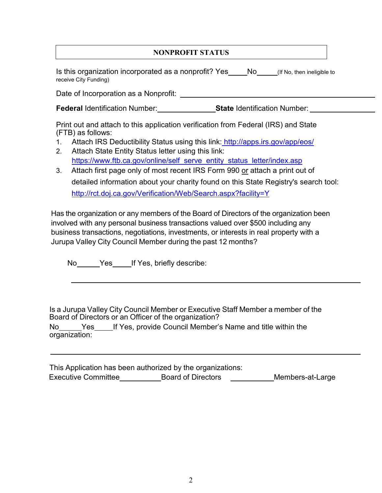## **NONPROFIT STATUS**

Is this organization incorporated as a nonprofit? Yes No (If No, then ineligible to receive City Funding)

Date of Incorporation as a Nonprofit:

**Federal** Identification Number: **State** Identification Number:

Print out and attach to this application verification from Federal (IRS) and State (FTB) as follows:

- 1. Attach IRS Deductibility Status using this link: <http://apps.irs.gov/app/eos/>
- 2. Attach State Entity Status letter using this link: [https://www.ftb.ca.gov/online/self\\_serve\\_entity\\_status\\_letter/index.asp](https://www.ftb.ca.gov/online/self_serve_entity_status_letter/index.asp)
- 3. Attach first page only of most recent IRS Form 990 or attach a print out of detailed information about your charity found on this State Registry's search tool: <http://rct.doj.ca.gov/Verification/Web/Search.aspx?facility=Y>

Has the organization or any members of the Board of Directors of the organization been involved with any personal business transactions valued over \$500 including any business transactions, negotiations, investments, or interests in real property with a Jurupa Valley City Council Member during the past 12 months?

No Yes If Yes, briefly describe:

Is a Jurupa Valley City Council Member or Executive Staff Member a member of the Board of Directors or an Officer of the organization?

No Yes If Yes, provide Council Member's Name and title within the organization:

This Application has been authorized by the organizations: Executive Committee Board of Directors Members-at-Large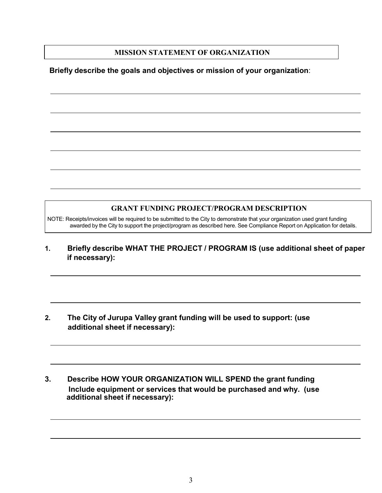### **MISSION STATEMENT OF ORGANIZATION**

### **Briefly describe the goals and objectives or mission of your organization**:

### **GRANT FUNDING PROJECT/PROGRAM DESCRIPTION**

NOTE: Receipts/invoices will be required to be submitted to the City to demonstrate that your organization used grant funding awarded by the City to support the project/program as described here. See Compliance Report on Application for details.

**1. Briefly describe WHAT THE PROJECT / PROGRAM IS (use additional sheet of paper if necessary):**

- **2. The City of Jurupa Valley grant funding will be used to support: (use additional sheet if necessary):**
- **3. Describe HOW YOUR ORGANIZATION WILL SPEND the grant funding Include equipment or services that would be purchased and why. (use additional sheet if necessary):**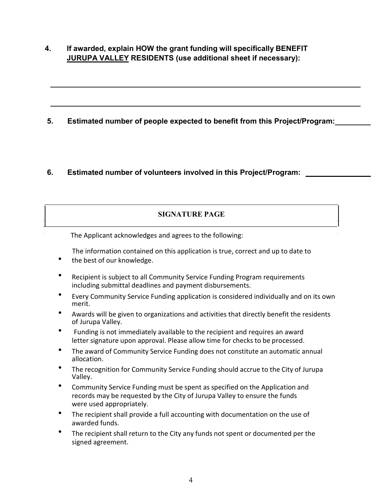**4. If awarded, explain HOW the grant funding will specifically BENEFIT JURUPA VALLEY RESIDENTS (use additional sheet if necessary):**

**5. Estimated number of people expected to benefit from this Project/Program:**

## **6. Estimated number of volunteers involved in this Project/Program:**

## **SIGNATURE PAGE**

The Applicant acknowledges and agrees to the following:

The information contained on this application is true, correct and up to date to<br>
• the best of our knowledge.

- 
- Recipient is subject to all Community Service Funding Program requirements including submittal deadlines and payment disbursements.
- Every Community Service Funding application is considered individually and on its own merit.
- Awards will be given to organizations and activities that directly benefit the residents of Jurupa Valley.
- Funding is not immediately available to the recipient and requires an award letter signature upon approval. Please allow time for checks to be processed.
- The award of Community Service Funding does not constitute an automatic annual allocation.
- The recognition for Community Service Funding should accrue to the City of Jurupa Valley.
- Community Service Funding must be spent as specified on the Application and records may be requested by the City of Jurupa Valley to ensure the funds were used appropriately.
- The recipient shall provide a full accounting with documentation on the use of awarded funds.
- The recipient shall return to the City any funds not spent or documented per the signed agreement.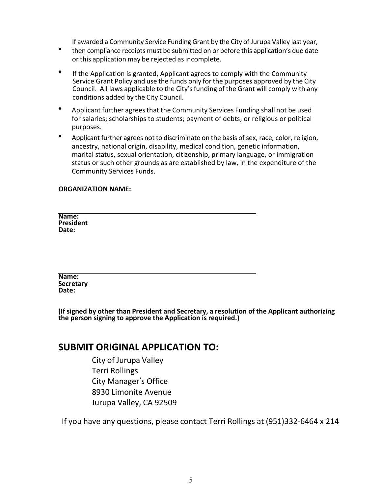- If awarded a Community Service Funding Grant by the City of Jurupa Valley last year,<br>
 then compliance receipts must be submitted on or before this application's due date or this application may be rejected asincomplete.
- If the Application is granted, Applicant agrees to comply with the Community Service Grant Policy and use the funds only for the purposes approved by the City Council. All laws applicable to the City's funding of the Grant will comply with any conditions added by the City Council.
- Applicant further agrees that the Community Services Funding shall not be used for salaries; scholarships to students; payment of debts; or religious or political purposes.
- Applicant further agrees not to discriminate on the basis of sex, race, color, religion, ancestry, national origin, disability, medical condition, genetic information, marital status, sexual orientation, citizenship, primary language, or immigration status or such other grounds as are established by law, in the expenditure of the Community Services Funds.

#### **ORGANIZATION NAME:**

**Name: President Date:**

**Name: Secretary Date:**

**(If signed by other than President and Secretary, a resolution of the Applicant authorizing the person signing to approve the Application is required.)**

## **SUBMIT ORIGINAL APPLICATION TO:**

City of Jurupa Valley Terri Rollings City Manager's Office 8930 Limonite Avenue Jurupa Valley, CA 92509

If you have any questions, please contact Terri Rollings at (951)332-6464 x 214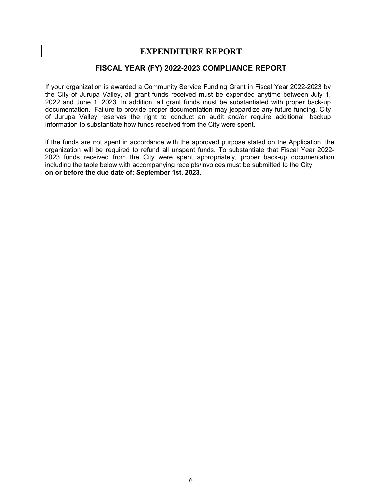## **EXPENDITURE REPORT**

### **FISCAL YEAR (FY) 2022-2023 COMPLIANCE REPORT**

If your organization is awarded a Community Service Funding Grant in Fiscal Year 2022-2023 by the City of Jurupa Valley, all grant funds received must be expended anytime between July 1, 2022 and June 1, 2023. In addition, all grant funds must be substantiated with proper back-up documentation. Failure to provide proper documentation may jeopardize any future funding. City of Jurupa Valley reserves the right to conduct an audit and/or require additional backup information to substantiate how funds received from the City were spent.

If the funds are not spent in accordance with the approved purpose stated on the Application, the organization will be required to refund all unspent funds. To substantiate that Fiscal Year 2022- 2023 funds received from the City were spent appropriately, proper back-up documentation including the table below with accompanying receipts/invoices must be submitted to the City **on or before the due date of: September 1st, 2023**.